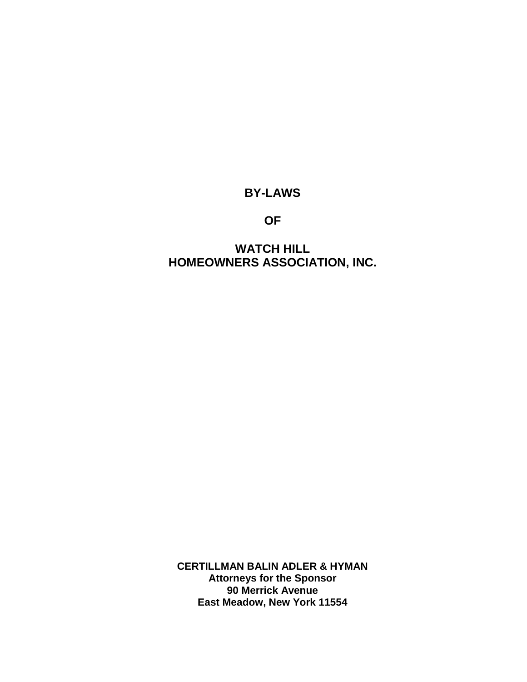# **BY-LAWS**

**OF**

# **WATCH HILL HOMEOWNERS ASSOCIATION, INC.**

**CERTILLMAN BALIN ADLER & HYMAN Attorneys for the Sponsor 90 Merrick Avenue East Meadow, New York 11554**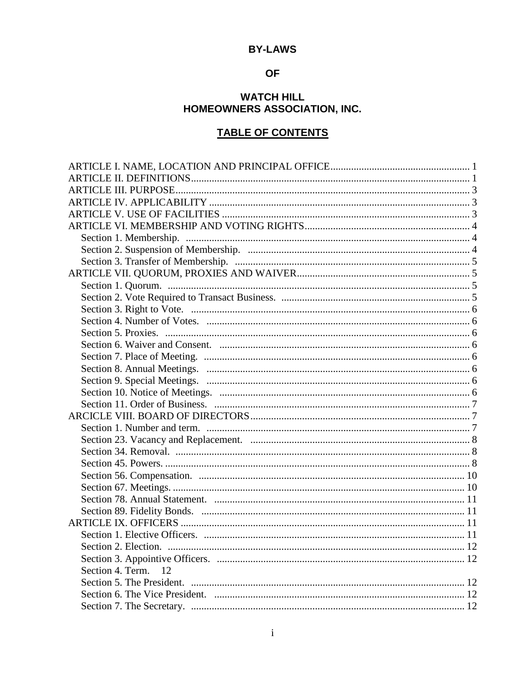# **BY-LAWS**

# **OF**

# **WATCH HILL** HOMEOWNERS ASSOCIATION, INC.

# **TABLE OF CONTENTS**

| Section 4. Term.<br>$\overline{12}$ |  |
|-------------------------------------|--|
|                                     |  |
|                                     |  |
|                                     |  |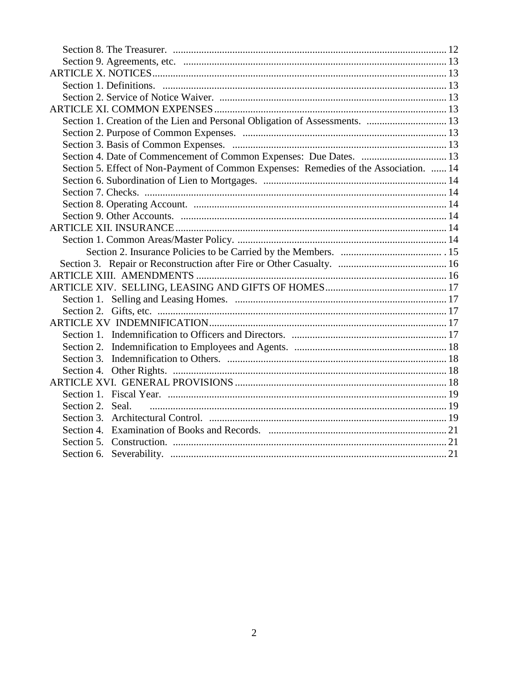| Section 1. Creation of the Lien and Personal Obligation of Assessments.  13           |
|---------------------------------------------------------------------------------------|
|                                                                                       |
|                                                                                       |
| Section 4. Date of Commencement of Common Expenses: Due Dates.  13                    |
| Section 5. Effect of Non-Payment of Common Expenses: Remedies of the Association.  14 |
|                                                                                       |
|                                                                                       |
|                                                                                       |
|                                                                                       |
|                                                                                       |
|                                                                                       |
|                                                                                       |
|                                                                                       |
|                                                                                       |
|                                                                                       |
|                                                                                       |
|                                                                                       |
|                                                                                       |
|                                                                                       |
|                                                                                       |
|                                                                                       |
|                                                                                       |
|                                                                                       |
|                                                                                       |
| Section 2. Seal.                                                                      |
|                                                                                       |
|                                                                                       |
|                                                                                       |
|                                                                                       |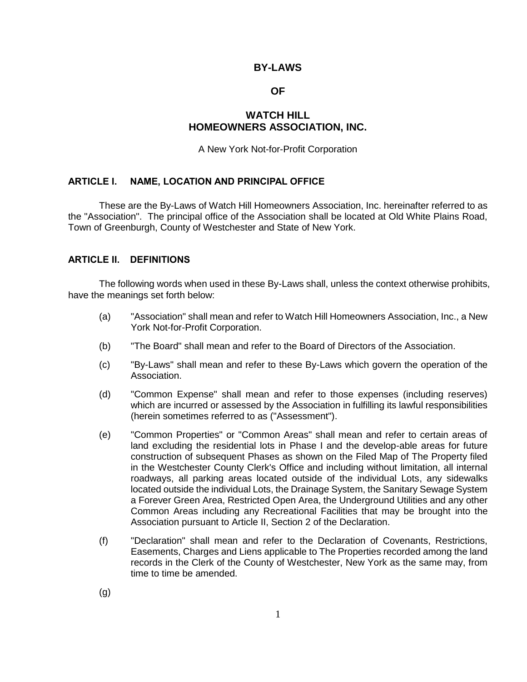### **BY-LAWS**

### **OF**

### **WATCH HILL HOMEOWNERS ASSOCIATION, INC.**

A New York Not-for-Profit Corporation

#### **ARTICLE I. NAME, LOCATION AND PRINCIPAL OFFICE**

These are the By-Laws of Watch Hill Homeowners Association, Inc. hereinafter referred to as the "Association". The principal office of the Association shall be located at Old White Plains Road, Town of Greenburgh, County of Westchester and State of New York.

#### **ARTICLE II. DEFINITIONS**

The following words when used in these By-Laws shall, unless the context otherwise prohibits, have the meanings set forth below:

- (a) "Association" shall mean and refer to Watch Hill Homeowners Association, Inc., a New York Not-for-Profit Corporation.
- (b) "The Board" shall mean and refer to the Board of Directors of the Association.
- (c) "By-Laws" shall mean and refer to these By-Laws which govern the operation of the Association.
- (d) "Common Expense" shall mean and refer to those expenses (including reserves) which are incurred or assessed by the Association in fulfilling its lawful responsibilities (herein sometimes referred to as ("Assessment").
- (e) "Common Properties" or "Common Areas" shall mean and refer to certain areas of land excluding the residential lots in Phase I and the develop-able areas for future construction of subsequent Phases as shown on the Filed Map of The Property filed in the Westchester County Clerk's Office and including without limitation, all internal roadways, all parking areas located outside of the individual Lots, any sidewalks located outside the individual Lots, the Drainage System, the Sanitary Sewage System a Forever Green Area, Restricted Open Area, the Underground Utilities and any other Common Areas including any Recreational Facilities that may be brought into the Association pursuant to Article II, Section 2 of the Declaration.
- (f) "Declaration" shall mean and refer to the Declaration of Covenants, Restrictions, Easements, Charges and Liens applicable to The Properties recorded among the land records in the Clerk of the County of Westchester, New York as the same may, from time to time be amended.

(g)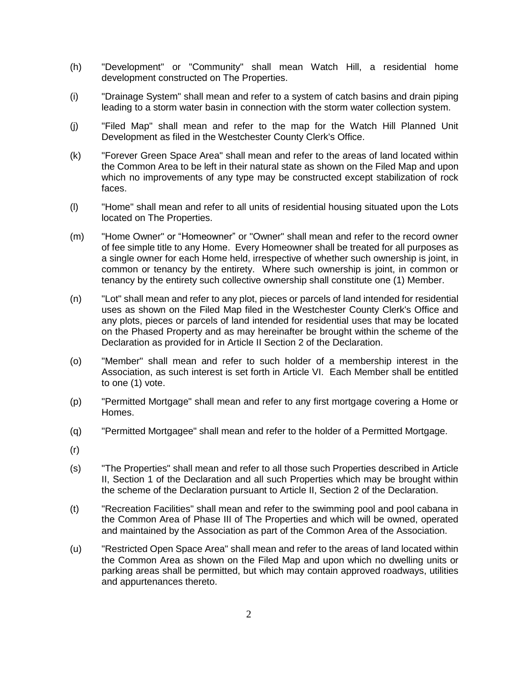- (h) "Development" or "Community" shall mean Watch Hill, a residential home development constructed on The Properties.
- (i) "Drainage System" shall mean and refer to a system of catch basins and drain piping leading to a storm water basin in connection with the storm water collection system.
- (j) "Filed Map" shall mean and refer to the map for the Watch Hill Planned Unit Development as filed in the Westchester County Clerk's Office.
- (k) "Forever Green Space Area" shall mean and refer to the areas of land located within the Common Area to be left in their natural state as shown on the Filed Map and upon which no improvements of any type may be constructed except stabilization of rock faces.
- (l) "Home" shall mean and refer to all units of residential housing situated upon the Lots located on The Properties.
- (m) "Home Owner" or "Homeowner" or "Owner" shall mean and refer to the record owner of fee simple title to any Home. Every Homeowner shall be treated for all purposes as a single owner for each Home held, irrespective of whether such ownership is joint, in common or tenancy by the entirety. Where such ownership is joint, in common or tenancy by the entirety such collective ownership shall constitute one (1) Member.
- (n) "Lot" shall mean and refer to any plot, pieces or parcels of land intended for residential uses as shown on the Filed Map filed in the Westchester County Clerk's Office and any plots, pieces or parcels of land intended for residential uses that may be located on the Phased Property and as may hereinafter be brought within the scheme of the Declaration as provided for in Article II Section 2 of the Declaration.
- (o) "Member" shall mean and refer to such holder of a membership interest in the Association, as such interest is set forth in Article VI. Each Member shall be entitled to one (1) vote.
- (p) "Permitted Mortgage" shall mean and refer to any first mortgage covering a Home or Homes.
- (q) "Permitted Mortgagee" shall mean and refer to the holder of a Permitted Mortgage.
- (r)
- (s) "The Properties" shall mean and refer to all those such Properties described in Article II, Section 1 of the Declaration and all such Properties which may be brought within the scheme of the Declaration pursuant to Article II, Section 2 of the Declaration.
- (t) "Recreation Facilities" shall mean and refer to the swimming pool and pool cabana in the Common Area of Phase III of The Properties and which will be owned, operated and maintained by the Association as part of the Common Area of the Association.
- (u) "Restricted Open Space Area" shall mean and refer to the areas of land located within the Common Area as shown on the Filed Map and upon which no dwelling units or parking areas shall be permitted, but which may contain approved roadways, utilities and appurtenances thereto.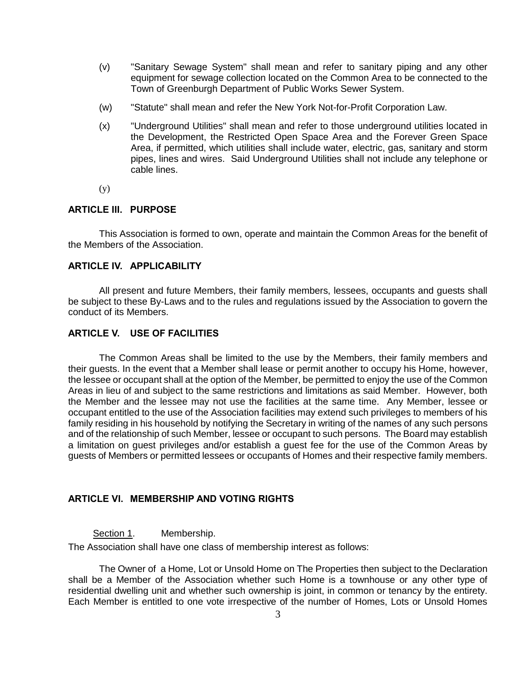- (v) "Sanitary Sewage System" shall mean and refer to sanitary piping and any other equipment for sewage collection located on the Common Area to be connected to the Town of Greenburgh Department of Public Works Sewer System.
- (w) "Statute" shall mean and refer the New York Not-for-Profit Corporation Law.
- (x) "Underground Utilities" shall mean and refer to those underground utilities located in the Development, the Restricted Open Space Area and the Forever Green Space Area, if permitted, which utilities shall include water, electric, gas, sanitary and storm pipes, lines and wires. Said Underground Utilities shall not include any telephone or cable lines.

(y)

### **ARTICLE III. PURPOSE**

This Association is formed to own, operate and maintain the Common Areas for the benefit of the Members of the Association.

### **ARTICLE IV. APPLICABILITY**

All present and future Members, their family members, lessees, occupants and guests shall be subject to these By-Laws and to the rules and regulations issued by the Association to govern the conduct of its Members.

#### **ARTICLE V. USE OF FACILITIES**

The Common Areas shall be limited to the use by the Members, their family members and their guests. In the event that a Member shall lease or permit another to occupy his Home, however, the lessee or occupant shall at the option of the Member, be permitted to enjoy the use of the Common Areas in lieu of and subject to the same restrictions and limitations as said Member. However, both the Member and the lessee may not use the facilities at the same time. Any Member, lessee or occupant entitled to the use of the Association facilities may extend such privileges to members of his family residing in his household by notifying the Secretary in writing of the names of any such persons and of the relationship of such Member, lessee or occupant to such persons. The Board may establish a limitation on guest privileges and/or establish a guest fee for the use of the Common Areas by guests of Members or permitted lessees or occupants of Homes and their respective family members.

### **ARTICLE VI. MEMBERSHIP AND VOTING RIGHTS**

Section 1. Membership.

The Association shall have one class of membership interest as follows:

The Owner of a Home, Lot or Unsold Home on The Properties then subject to the Declaration shall be a Member of the Association whether such Home is a townhouse or any other type of residential dwelling unit and whether such ownership is joint, in common or tenancy by the entirety. Each Member is entitled to one vote irrespective of the number of Homes, Lots or Unsold Homes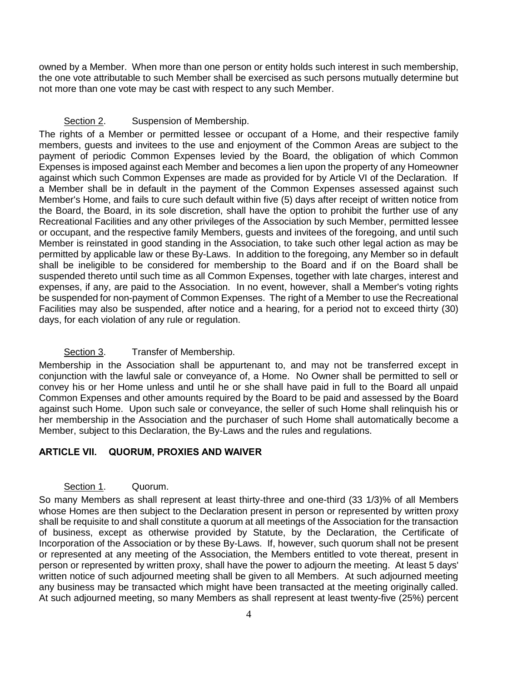owned by a Member. When more than one person or entity holds such interest in such membership, the one vote attributable to such Member shall be exercised as such persons mutually determine but not more than one vote may be cast with respect to any such Member.

# Section 2. Suspension of Membership.

The rights of a Member or permitted lessee or occupant of a Home, and their respective family members, guests and invitees to the use and enjoyment of the Common Areas are subject to the payment of periodic Common Expenses levied by the Board, the obligation of which Common Expenses is imposed against each Member and becomes a lien upon the property of any Homeowner against which such Common Expenses are made as provided for by Article VI of the Declaration. If a Member shall be in default in the payment of the Common Expenses assessed against such Member's Home, and fails to cure such default within five (5) days after receipt of written notice from the Board, the Board, in its sole discretion, shall have the option to prohibit the further use of any Recreational Facilities and any other privileges of the Association by such Member, permitted lessee or occupant, and the respective family Members, guests and invitees of the foregoing, and until such Member is reinstated in good standing in the Association, to take such other legal action as may be permitted by applicable law or these By-Laws. In addition to the foregoing, any Member so in default shall be ineligible to be considered for membership to the Board and if on the Board shall be suspended thereto until such time as all Common Expenses, together with late charges, interest and expenses, if any, are paid to the Association. In no event, however, shall a Member's voting rights be suspended for non-payment of Common Expenses. The right of a Member to use the Recreational Facilities may also be suspended, after notice and a hearing, for a period not to exceed thirty (30) days, for each violation of any rule or regulation.

# Section 3. Transfer of Membership.

Membership in the Association shall be appurtenant to, and may not be transferred except in conjunction with the lawful sale or conveyance of, a Home. No Owner shall be permitted to sell or convey his or her Home unless and until he or she shall have paid in full to the Board all unpaid Common Expenses and other amounts required by the Board to be paid and assessed by the Board against such Home. Upon such sale or conveyance, the seller of such Home shall relinquish his or her membership in the Association and the purchaser of such Home shall automatically become a Member, subject to this Declaration, the By-Laws and the rules and regulations.

### **ARTICLE VII. QUORUM, PROXIES AND WAIVER**

# Section 1. Quorum.

So many Members as shall represent at least thirty-three and one-third (33 1/3)% of all Members whose Homes are then subject to the Declaration present in person or represented by written proxy shall be requisite to and shall constitute a quorum at all meetings of the Association for the transaction of business, except as otherwise provided by Statute, by the Declaration, the Certificate of Incorporation of the Association or by these By-Laws. If, however, such quorum shall not be present or represented at any meeting of the Association, the Members entitled to vote thereat, present in person or represented by written proxy, shall have the power to adjourn the meeting. At least 5 days' written notice of such adjourned meeting shall be given to all Members. At such adjourned meeting any business may be transacted which might have been transacted at the meeting originally called. At such adjourned meeting, so many Members as shall represent at least twenty-five (25%) percent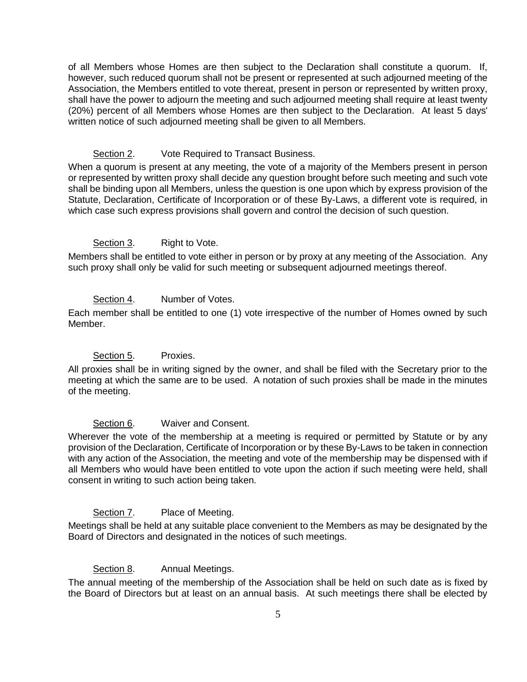of all Members whose Homes are then subject to the Declaration shall constitute a quorum. If, however, such reduced quorum shall not be present or represented at such adjourned meeting of the Association, the Members entitled to vote thereat, present in person or represented by written proxy, shall have the power to adjourn the meeting and such adjourned meeting shall require at least twenty (20%) percent of all Members whose Homes are then subject to the Declaration. At least 5 days' written notice of such adjourned meeting shall be given to all Members.

### Section 2. Vote Required to Transact Business.

When a quorum is present at any meeting, the vote of a majority of the Members present in person or represented by written proxy shall decide any question brought before such meeting and such vote shall be binding upon all Members, unless the question is one upon which by express provision of the Statute, Declaration, Certificate of Incorporation or of these By-Laws, a different vote is required, in which case such express provisions shall govern and control the decision of such question.

### Section 3. Right to Vote.

Members shall be entitled to vote either in person or by proxy at any meeting of the Association. Any such proxy shall only be valid for such meeting or subsequent adjourned meetings thereof.

### Section 4. Number of Votes.

Each member shall be entitled to one (1) vote irrespective of the number of Homes owned by such Member.

### Section 5. Proxies.

All proxies shall be in writing signed by the owner, and shall be filed with the Secretary prior to the meeting at which the same are to be used. A notation of such proxies shall be made in the minutes of the meeting.

#### Section 6. Waiver and Consent.

Wherever the vote of the membership at a meeting is required or permitted by Statute or by any provision of the Declaration, Certificate of Incorporation or by these By-Laws to be taken in connection with any action of the Association, the meeting and vote of the membership may be dispensed with if all Members who would have been entitled to vote upon the action if such meeting were held, shall consent in writing to such action being taken.

### Section 7. Place of Meeting.

Meetings shall be held at any suitable place convenient to the Members as may be designated by the Board of Directors and designated in the notices of such meetings.

#### Section 8. Annual Meetings.

The annual meeting of the membership of the Association shall be held on such date as is fixed by the Board of Directors but at least on an annual basis. At such meetings there shall be elected by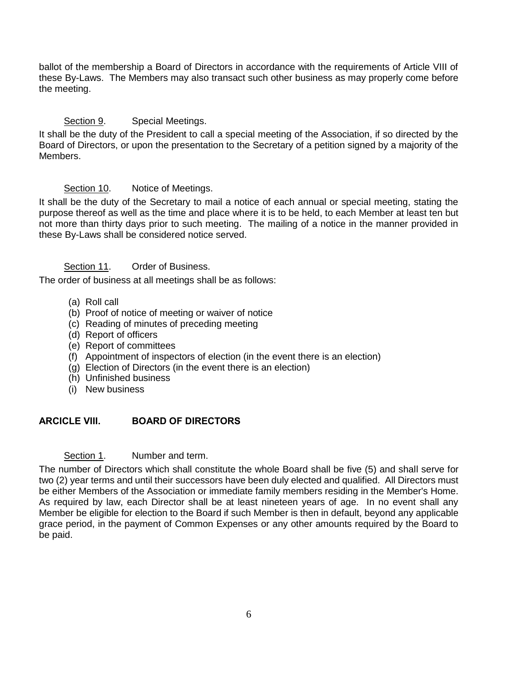ballot of the membership a Board of Directors in accordance with the requirements of Article VIII of these By-Laws. The Members may also transact such other business as may properly come before the meeting.

# Section 9. Special Meetings.

It shall be the duty of the President to call a special meeting of the Association, if so directed by the Board of Directors, or upon the presentation to the Secretary of a petition signed by a majority of the Members.

# Section 10. Notice of Meetings.

It shall be the duty of the Secretary to mail a notice of each annual or special meeting, stating the purpose thereof as well as the time and place where it is to be held, to each Member at least ten but not more than thirty days prior to such meeting. The mailing of a notice in the manner provided in these By-Laws shall be considered notice served.

# Section 11. Order of Business.

The order of business at all meetings shall be as follows:

- (a) Roll call
- (b) Proof of notice of meeting or waiver of notice
- (c) Reading of minutes of preceding meeting
- (d) Report of officers
- (e) Report of committees
- (f) Appointment of inspectors of election (in the event there is an election)
- (g) Election of Directors (in the event there is an election)
- (h) Unfinished business
- (i) New business

### **ARCICLE VIII. BOARD OF DIRECTORS**

### Section 1. Number and term.

The number of Directors which shall constitute the whole Board shall be five (5) and shall serve for two (2) year terms and until their successors have been duly elected and qualified. All Directors must be either Members of the Association or immediate family members residing in the Member's Home. As required by law, each Director shall be at least nineteen years of age. In no event shall any Member be eligible for election to the Board if such Member is then in default, beyond any applicable grace period, in the payment of Common Expenses or any other amounts required by the Board to be paid.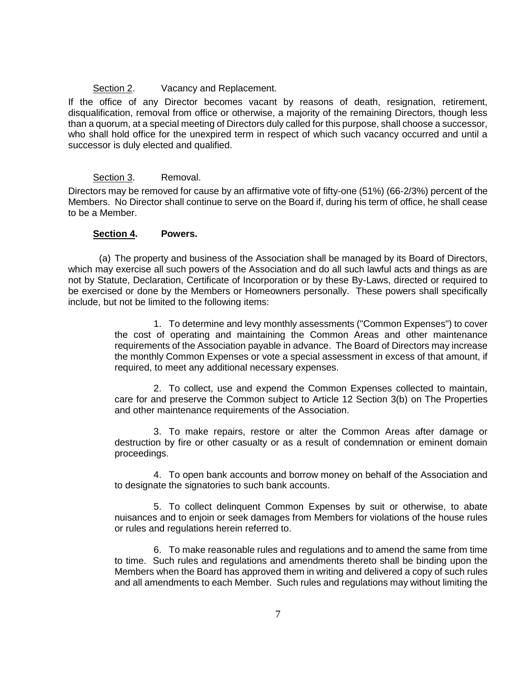#### Section 2. Vacancy and Replacement.

If the office of any Director becomes vacant by reasons of death, resignation, retirement, disqualification, removal from office or otherwise, a majority of the remaining Directors, though less than a quorum, at a special meeting of Directors duly called for this purpose, shall choose a successor, who shall hold office for the unexpired term in respect of which such vacancy occurred and until a successor is duly elected and qualified.

#### Section 3. Removal.

Directors may be removed for cause by an affirmative vote of fifty-one (51%) (66-2/3%) percent of the Members. No Director shall continue to serve on the Board if, during his term of office, he shall cease to be a Member.

#### **Section 4. Powers.**

(a) The property and business of the Association shall be managed by its Board of Directors, which may exercise all such powers of the Association and do all such lawful acts and things as are not by Statute, Declaration, Certificate of Incorporation or by these By-Laws, directed or required to be exercised or done by the Members or Homeowners personally. These powers shall specifically include, but not be limited to the following items:

> 1. To determine and levy monthly assessments ("Common Expenses") to cover the cost of operating and maintaining the Common Areas and other maintenance requirements of the Association payable in advance. The Board of Directors may increase the monthly Common Expenses or vote a special assessment in excess of that amount, if required, to meet any additional necessary expenses.

> 2. To collect, use and expend the Common Expenses collected to maintain, care for and preserve the Common subject to Article 12 Section 3(b) on The Properties and other maintenance requirements of the Association.

> 3. To make repairs, restore or alter the Common Areas after damage or destruction by fire or other casualty or as a result of condemnation or eminent domain proceedings.

> 4. To open bank accounts and borrow money on behalf of the Association and to designate the signatories to such bank accounts.

> 5. To collect delinquent Common Expenses by suit or otherwise, to abate nuisances and to enjoin or seek damages from Members for violations of the house rules or rules and regulations herein referred to.

> 6. To make reasonable rules and regulations and to amend the same from time to time. Such rules and regulations and amendments thereto shall be binding upon the Members when the Board has approved them in writing and delivered a copy of such rules and all amendments to each Member. Such rules and regulations may without limiting the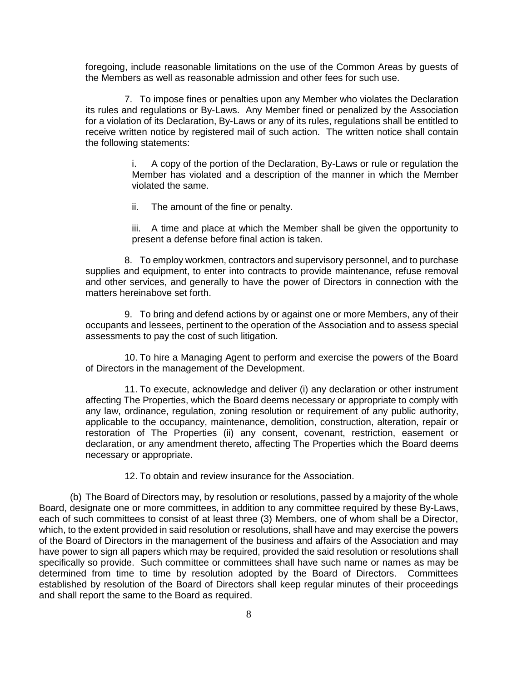foregoing, include reasonable limitations on the use of the Common Areas by guests of the Members as well as reasonable admission and other fees for such use.

7. To impose fines or penalties upon any Member who violates the Declaration its rules and regulations or By-Laws. Any Member fined or penalized by the Association for a violation of its Declaration, By-Laws or any of its rules, regulations shall be entitled to receive written notice by registered mail of such action. The written notice shall contain the following statements:

> i. A copy of the portion of the Declaration, By-Laws or rule or regulation the Member has violated and a description of the manner in which the Member violated the same.

ii. The amount of the fine or penalty.

iii. A time and place at which the Member shall be given the opportunity to present a defense before final action is taken.

8. To employ workmen, contractors and supervisory personnel, and to purchase supplies and equipment, to enter into contracts to provide maintenance, refuse removal and other services, and generally to have the power of Directors in connection with the matters hereinabove set forth.

9. To bring and defend actions by or against one or more Members, any of their occupants and lessees, pertinent to the operation of the Association and to assess special assessments to pay the cost of such litigation.

10. To hire a Managing Agent to perform and exercise the powers of the Board of Directors in the management of the Development.

11. To execute, acknowledge and deliver (i) any declaration or other instrument affecting The Properties, which the Board deems necessary or appropriate to comply with any law, ordinance, regulation, zoning resolution or requirement of any public authority, applicable to the occupancy, maintenance, demolition, construction, alteration, repair or restoration of The Properties (ii) any consent, covenant, restriction, easement or declaration, or any amendment thereto, affecting The Properties which the Board deems necessary or appropriate.

12. To obtain and review insurance for the Association.

(b) The Board of Directors may, by resolution or resolutions, passed by a majority of the whole Board, designate one or more committees, in addition to any committee required by these By-Laws, each of such committees to consist of at least three (3) Members, one of whom shall be a Director, which, to the extent provided in said resolution or resolutions, shall have and may exercise the powers of the Board of Directors in the management of the business and affairs of the Association and may have power to sign all papers which may be required, provided the said resolution or resolutions shall specifically so provide. Such committee or committees shall have such name or names as may be determined from time to time by resolution adopted by the Board of Directors. Committees established by resolution of the Board of Directors shall keep regular minutes of their proceedings and shall report the same to the Board as required.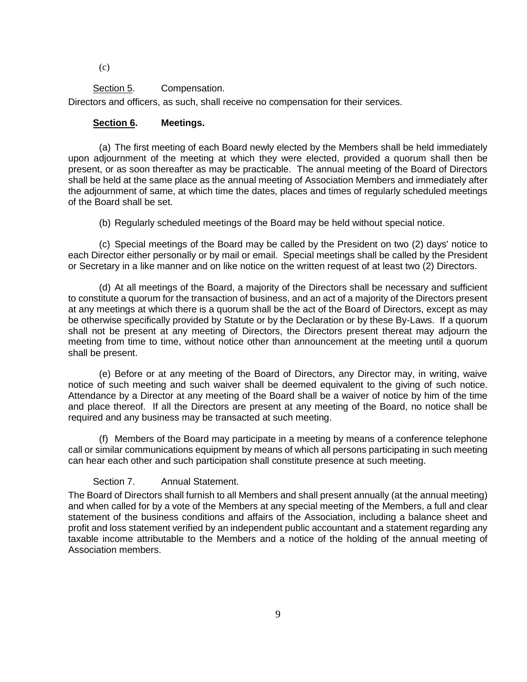(c)

Section 5. Compensation.

Directors and officers, as such, shall receive no compensation for their services.

### **Section 6. Meetings.**

(a) The first meeting of each Board newly elected by the Members shall be held immediately upon adjournment of the meeting at which they were elected, provided a quorum shall then be present, or as soon thereafter as may be practicable. The annual meeting of the Board of Directors shall be held at the same place as the annual meeting of Association Members and immediately after the adjournment of same, at which time the dates, places and times of regularly scheduled meetings of the Board shall be set.

(b) Regularly scheduled meetings of the Board may be held without special notice.

(c) Special meetings of the Board may be called by the President on two (2) days' notice to each Director either personally or by mail or email. Special meetings shall be called by the President or Secretary in a like manner and on like notice on the written request of at least two (2) Directors.

(d) At all meetings of the Board, a majority of the Directors shall be necessary and sufficient to constitute a quorum for the transaction of business, and an act of a majority of the Directors present at any meetings at which there is a quorum shall be the act of the Board of Directors, except as may be otherwise specifically provided by Statute or by the Declaration or by these By-Laws. If a quorum shall not be present at any meeting of Directors, the Directors present thereat may adjourn the meeting from time to time, without notice other than announcement at the meeting until a quorum shall be present.

(e) Before or at any meeting of the Board of Directors, any Director may, in writing, waive notice of such meeting and such waiver shall be deemed equivalent to the giving of such notice. Attendance by a Director at any meeting of the Board shall be a waiver of notice by him of the time and place thereof. If all the Directors are present at any meeting of the Board, no notice shall be required and any business may be transacted at such meeting.

(f) Members of the Board may participate in a meeting by means of a conference telephone call or similar communications equipment by means of which all persons participating in such meeting can hear each other and such participation shall constitute presence at such meeting.

### Section 7. Annual Statement.

The Board of Directors shall furnish to all Members and shall present annually (at the annual meeting) and when called for by a vote of the Members at any special meeting of the Members, a full and clear statement of the business conditions and affairs of the Association, including a balance sheet and profit and loss statement verified by an independent public accountant and a statement regarding any taxable income attributable to the Members and a notice of the holding of the annual meeting of Association members.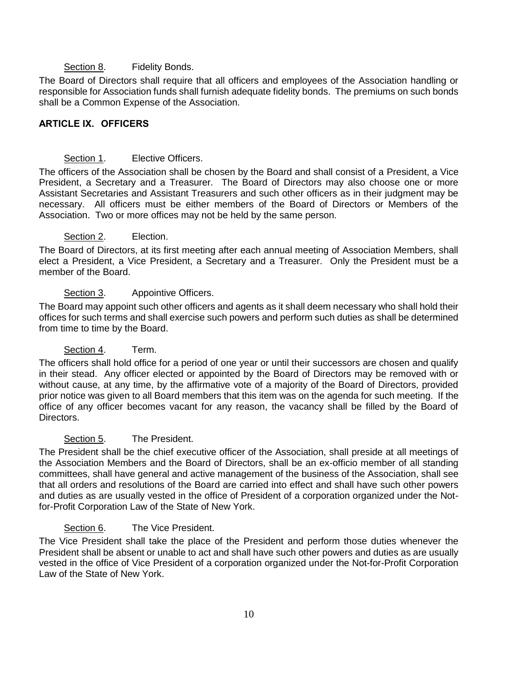### Section 8. Fidelity Bonds.

The Board of Directors shall require that all officers and employees of the Association handling or responsible for Association funds shall furnish adequate fidelity bonds. The premiums on such bonds shall be a Common Expense of the Association.

# **ARTICLE IX. OFFICERS**

# Section 1. Elective Officers.

The officers of the Association shall be chosen by the Board and shall consist of a President, a Vice President, a Secretary and a Treasurer. The Board of Directors may also choose one or more Assistant Secretaries and Assistant Treasurers and such other officers as in their judgment may be necessary. All officers must be either members of the Board of Directors or Members of the Association. Two or more offices may not be held by the same person.

### Section 2. Election.

The Board of Directors, at its first meeting after each annual meeting of Association Members, shall elect a President, a Vice President, a Secretary and a Treasurer. Only the President must be a member of the Board.

# Section 3. Appointive Officers.

The Board may appoint such other officers and agents as it shall deem necessary who shall hold their offices for such terms and shall exercise such powers and perform such duties as shall be determined from time to time by the Board.

# Section 4. Term.

The officers shall hold office for a period of one year or until their successors are chosen and qualify in their stead. Any officer elected or appointed by the Board of Directors may be removed with or without cause, at any time, by the affirmative vote of a majority of the Board of Directors, provided prior notice was given to all Board members that this item was on the agenda for such meeting. If the office of any officer becomes vacant for any reason, the vacancy shall be filled by the Board of Directors.

### Section 5. The President.

The President shall be the chief executive officer of the Association, shall preside at all meetings of the Association Members and the Board of Directors, shall be an ex-officio member of all standing committees, shall have general and active management of the business of the Association, shall see that all orders and resolutions of the Board are carried into effect and shall have such other powers and duties as are usually vested in the office of President of a corporation organized under the Notfor-Profit Corporation Law of the State of New York.

# Section 6. The Vice President.

The Vice President shall take the place of the President and perform those duties whenever the President shall be absent or unable to act and shall have such other powers and duties as are usually vested in the office of Vice President of a corporation organized under the Not-for-Profit Corporation Law of the State of New York.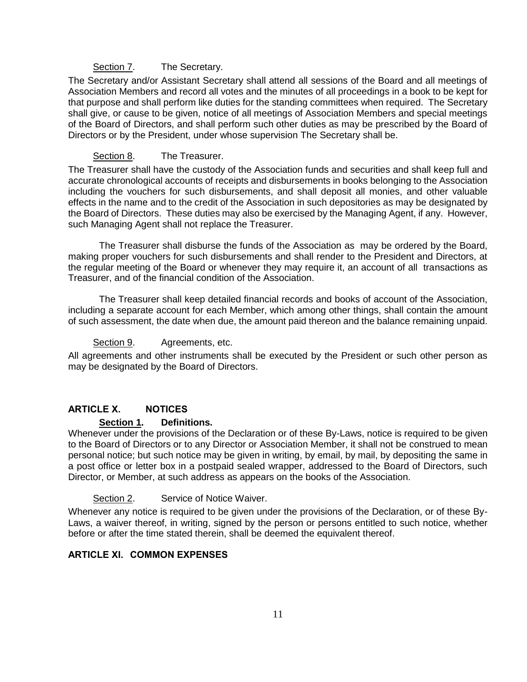### Section 7. The Secretary.

The Secretary and/or Assistant Secretary shall attend all sessions of the Board and all meetings of Association Members and record all votes and the minutes of all proceedings in a book to be kept for that purpose and shall perform like duties for the standing committees when required. The Secretary shall give, or cause to be given, notice of all meetings of Association Members and special meetings of the Board of Directors, and shall perform such other duties as may be prescribed by the Board of Directors or by the President, under whose supervision The Secretary shall be.

### Section 8. The Treasurer.

The Treasurer shall have the custody of the Association funds and securities and shall keep full and accurate chronological accounts of receipts and disbursements in books belonging to the Association including the vouchers for such disbursements, and shall deposit all monies, and other valuable effects in the name and to the credit of the Association in such depositories as may be designated by the Board of Directors. These duties may also be exercised by the Managing Agent, if any. However, such Managing Agent shall not replace the Treasurer.

The Treasurer shall disburse the funds of the Association as may be ordered by the Board, making proper vouchers for such disbursements and shall render to the President and Directors, at the regular meeting of the Board or whenever they may require it, an account of all transactions as Treasurer, and of the financial condition of the Association.

The Treasurer shall keep detailed financial records and books of account of the Association, including a separate account for each Member, which among other things, shall contain the amount of such assessment, the date when due, the amount paid thereon and the balance remaining unpaid.

#### Section 9. Agreements, etc.

All agreements and other instruments shall be executed by the President or such other person as may be designated by the Board of Directors.

### **ARTICLE X. NOTICES**

#### **Section 1. Definitions.**

Whenever under the provisions of the Declaration or of these By-Laws, notice is required to be given to the Board of Directors or to any Director or Association Member, it shall not be construed to mean personal notice; but such notice may be given in writing, by email, by mail, by depositing the same in a post office or letter box in a postpaid sealed wrapper, addressed to the Board of Directors, such Director, or Member, at such address as appears on the books of the Association.

#### Section 2. Service of Notice Waiver.

Whenever any notice is required to be given under the provisions of the Declaration, or of these By-Laws, a waiver thereof, in writing, signed by the person or persons entitled to such notice, whether before or after the time stated therein, shall be deemed the equivalent thereof.

## **ARTICLE XI. COMMON EXPENSES**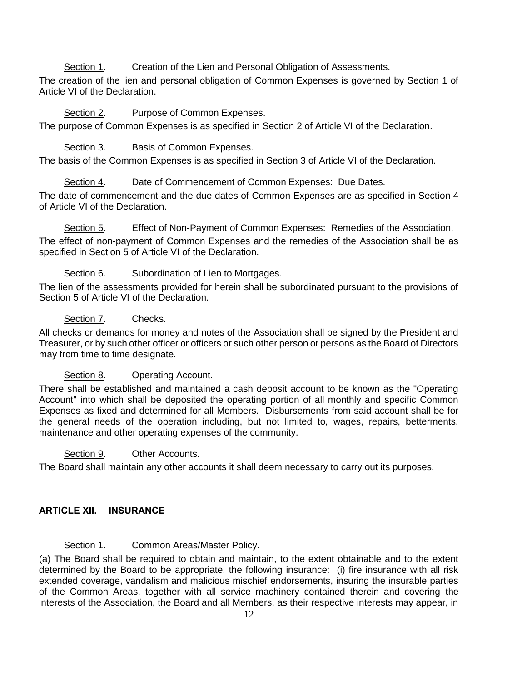Section 1. Creation of the Lien and Personal Obligation of Assessments.

The creation of the lien and personal obligation of Common Expenses is governed by Section 1 of Article VI of the Declaration.

# Section 2. Purpose of Common Expenses.

The purpose of Common Expenses is as specified in Section 2 of Article VI of the Declaration.

# Section 3. Basis of Common Expenses.

The basis of the Common Expenses is as specified in Section 3 of Article VI of the Declaration.

# Section 4. Date of Commencement of Common Expenses: Due Dates.

The date of commencement and the due dates of Common Expenses are as specified in Section 4 of Article VI of the Declaration.

Section 5. Effect of Non-Payment of Common Expenses: Remedies of the Association. The effect of non-payment of Common Expenses and the remedies of the Association shall be as specified in Section 5 of Article VI of the Declaration.

# Section 6. Subordination of Lien to Mortgages.

The lien of the assessments provided for herein shall be subordinated pursuant to the provisions of Section 5 of Article VI of the Declaration.

# Section 7. Checks.

All checks or demands for money and notes of the Association shall be signed by the President and Treasurer, or by such other officer or officers or such other person or persons as the Board of Directors may from time to time designate.

# Section 8. Operating Account.

There shall be established and maintained a cash deposit account to be known as the "Operating Account" into which shall be deposited the operating portion of all monthly and specific Common Expenses as fixed and determined for all Members. Disbursements from said account shall be for the general needs of the operation including, but not limited to, wages, repairs, betterments, maintenance and other operating expenses of the community.

### Section 9. Other Accounts.

The Board shall maintain any other accounts it shall deem necessary to carry out its purposes.

# **ARTICLE XII. INSURANCE**

# Section 1. Common Areas/Master Policy.

(a) The Board shall be required to obtain and maintain, to the extent obtainable and to the extent determined by the Board to be appropriate, the following insurance: (i) fire insurance with all risk extended coverage, vandalism and malicious mischief endorsements, insuring the insurable parties of the Common Areas, together with all service machinery contained therein and covering the interests of the Association, the Board and all Members, as their respective interests may appear, in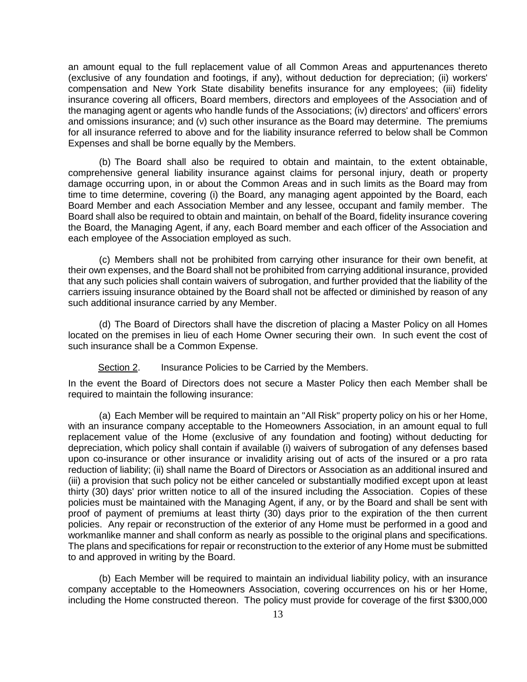an amount equal to the full replacement value of all Common Areas and appurtenances thereto (exclusive of any foundation and footings, if any), without deduction for depreciation; (ii) workers' compensation and New York State disability benefits insurance for any employees; (iii) fidelity insurance covering all officers, Board members, directors and employees of the Association and of the managing agent or agents who handle funds of the Associations; (iv) directors' and officers' errors and omissions insurance; and (v) such other insurance as the Board may determine. The premiums for all insurance referred to above and for the liability insurance referred to below shall be Common Expenses and shall be borne equally by the Members.

(b) The Board shall also be required to obtain and maintain, to the extent obtainable, comprehensive general liability insurance against claims for personal injury, death or property damage occurring upon, in or about the Common Areas and in such limits as the Board may from time to time determine, covering (i) the Board, any managing agent appointed by the Board, each Board Member and each Association Member and any lessee, occupant and family member. The Board shall also be required to obtain and maintain, on behalf of the Board, fidelity insurance covering the Board, the Managing Agent, if any, each Board member and each officer of the Association and each employee of the Association employed as such.

(c) Members shall not be prohibited from carrying other insurance for their own benefit, at their own expenses, and the Board shall not be prohibited from carrying additional insurance, provided that any such policies shall contain waivers of subrogation, and further provided that the liability of the carriers issuing insurance obtained by the Board shall not be affected or diminished by reason of any such additional insurance carried by any Member.

(d) The Board of Directors shall have the discretion of placing a Master Policy on all Homes located on the premises in lieu of each Home Owner securing their own. In such event the cost of such insurance shall be a Common Expense.

Section 2. Insurance Policies to be Carried by the Members.

In the event the Board of Directors does not secure a Master Policy then each Member shall be required to maintain the following insurance:

(a) Each Member will be required to maintain an "All Risk" property policy on his or her Home, with an insurance company acceptable to the Homeowners Association, in an amount equal to full replacement value of the Home (exclusive of any foundation and footing) without deducting for depreciation, which policy shall contain if available (i) waivers of subrogation of any defenses based upon co-insurance or other insurance or invalidity arising out of acts of the insured or a pro rata reduction of liability; (ii) shall name the Board of Directors or Association as an additional insured and (iii) a provision that such policy not be either canceled or substantially modified except upon at least thirty (30) days' prior written notice to all of the insured including the Association. Copies of these policies must be maintained with the Managing Agent, if any, or by the Board and shall be sent with proof of payment of premiums at least thirty (30) days prior to the expiration of the then current policies. Any repair or reconstruction of the exterior of any Home must be performed in a good and workmanlike manner and shall conform as nearly as possible to the original plans and specifications. The plans and specifications for repair or reconstruction to the exterior of any Home must be submitted to and approved in writing by the Board.

(b) Each Member will be required to maintain an individual liability policy, with an insurance company acceptable to the Homeowners Association, covering occurrences on his or her Home, including the Home constructed thereon. The policy must provide for coverage of the first \$300,000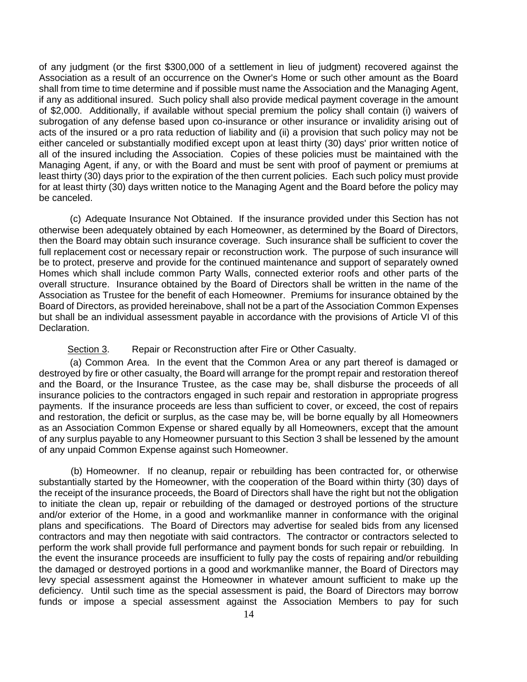of any judgment (or the first \$300,000 of a settlement in lieu of judgment) recovered against the Association as a result of an occurrence on the Owner's Home or such other amount as the Board shall from time to time determine and if possible must name the Association and the Managing Agent, if any as additional insured. Such policy shall also provide medical payment coverage in the amount of \$2,000. Additionally, if available without special premium the policy shall contain (i) waivers of subrogation of any defense based upon co-insurance or other insurance or invalidity arising out of acts of the insured or a pro rata reduction of liability and (ii) a provision that such policy may not be either canceled or substantially modified except upon at least thirty (30) days' prior written notice of all of the insured including the Association. Copies of these policies must be maintained with the Managing Agent, if any, or with the Board and must be sent with proof of payment or premiums at least thirty (30) days prior to the expiration of the then current policies. Each such policy must provide for at least thirty (30) days written notice to the Managing Agent and the Board before the policy may be canceled.

(c) Adequate Insurance Not Obtained. If the insurance provided under this Section has not otherwise been adequately obtained by each Homeowner, as determined by the Board of Directors, then the Board may obtain such insurance coverage. Such insurance shall be sufficient to cover the full replacement cost or necessary repair or reconstruction work. The purpose of such insurance will be to protect, preserve and provide for the continued maintenance and support of separately owned Homes which shall include common Party Walls, connected exterior roofs and other parts of the overall structure. Insurance obtained by the Board of Directors shall be written in the name of the Association as Trustee for the benefit of each Homeowner. Premiums for insurance obtained by the Board of Directors, as provided hereinabove, shall not be a part of the Association Common Expenses but shall be an individual assessment payable in accordance with the provisions of Article VI of this Declaration.

#### Section 3. Repair or Reconstruction after Fire or Other Casualty.

(a) Common Area. In the event that the Common Area or any part thereof is damaged or destroyed by fire or other casualty, the Board will arrange for the prompt repair and restoration thereof and the Board, or the Insurance Trustee, as the case may be, shall disburse the proceeds of all insurance policies to the contractors engaged in such repair and restoration in appropriate progress payments. If the insurance proceeds are less than sufficient to cover, or exceed, the cost of repairs and restoration, the deficit or surplus, as the case may be, will be borne equally by all Homeowners as an Association Common Expense or shared equally by all Homeowners, except that the amount of any surplus payable to any Homeowner pursuant to this Section 3 shall be lessened by the amount of any unpaid Common Expense against such Homeowner.

(b) Homeowner. If no cleanup, repair or rebuilding has been contracted for, or otherwise substantially started by the Homeowner, with the cooperation of the Board within thirty (30) days of the receipt of the insurance proceeds, the Board of Directors shall have the right but not the obligation to initiate the clean up, repair or rebuilding of the damaged or destroyed portions of the structure and/or exterior of the Home, in a good and workmanlike manner in conformance with the original plans and specifications. The Board of Directors may advertise for sealed bids from any licensed contractors and may then negotiate with said contractors. The contractor or contractors selected to perform the work shall provide full performance and payment bonds for such repair or rebuilding. In the event the insurance proceeds are insufficient to fully pay the costs of repairing and/or rebuilding the damaged or destroyed portions in a good and workmanlike manner, the Board of Directors may levy special assessment against the Homeowner in whatever amount sufficient to make up the deficiency. Until such time as the special assessment is paid, the Board of Directors may borrow funds or impose a special assessment against the Association Members to pay for such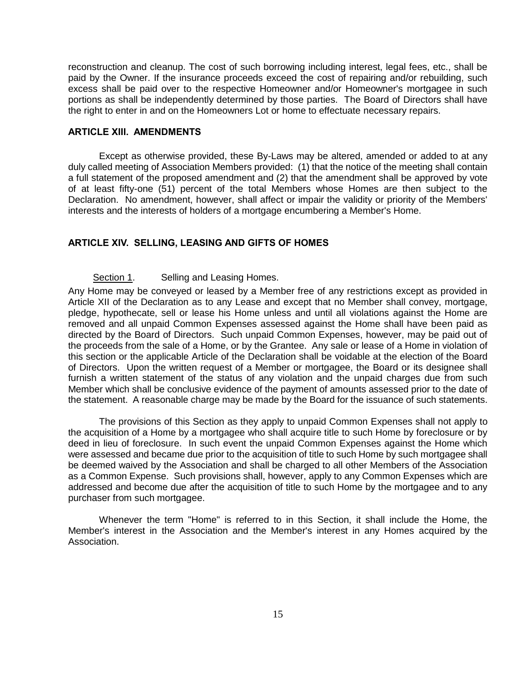reconstruction and cleanup. The cost of such borrowing including interest, legal fees, etc., shall be paid by the Owner. If the insurance proceeds exceed the cost of repairing and/or rebuilding, such excess shall be paid over to the respective Homeowner and/or Homeowner's mortgagee in such portions as shall be independently determined by those parties. The Board of Directors shall have the right to enter in and on the Homeowners Lot or home to effectuate necessary repairs.

#### **ARTICLE XIII. AMENDMENTS**

Except as otherwise provided, these By-Laws may be altered, amended or added to at any duly called meeting of Association Members provided: (1) that the notice of the meeting shall contain a full statement of the proposed amendment and (2) that the amendment shall be approved by vote of at least fifty-one (51) percent of the total Members whose Homes are then subject to the Declaration. No amendment, however, shall affect or impair the validity or priority of the Members' interests and the interests of holders of a mortgage encumbering a Member's Home.

#### **ARTICLE XIV. SELLING, LEASING AND GIFTS OF HOMES**

Section 1. Selling and Leasing Homes.

Any Home may be conveyed or leased by a Member free of any restrictions except as provided in Article XII of the Declaration as to any Lease and except that no Member shall convey, mortgage, pledge, hypothecate, sell or lease his Home unless and until all violations against the Home are removed and all unpaid Common Expenses assessed against the Home shall have been paid as directed by the Board of Directors. Such unpaid Common Expenses, however, may be paid out of the proceeds from the sale of a Home, or by the Grantee. Any sale or lease of a Home in violation of this section or the applicable Article of the Declaration shall be voidable at the election of the Board of Directors. Upon the written request of a Member or mortgagee, the Board or its designee shall furnish a written statement of the status of any violation and the unpaid charges due from such Member which shall be conclusive evidence of the payment of amounts assessed prior to the date of the statement. A reasonable charge may be made by the Board for the issuance of such statements.

The provisions of this Section as they apply to unpaid Common Expenses shall not apply to the acquisition of a Home by a mortgagee who shall acquire title to such Home by foreclosure or by deed in lieu of foreclosure. In such event the unpaid Common Expenses against the Home which were assessed and became due prior to the acquisition of title to such Home by such mortgagee shall be deemed waived by the Association and shall be charged to all other Members of the Association as a Common Expense. Such provisions shall, however, apply to any Common Expenses which are addressed and become due after the acquisition of title to such Home by the mortgagee and to any purchaser from such mortgagee.

Whenever the term "Home" is referred to in this Section, it shall include the Home, the Member's interest in the Association and the Member's interest in any Homes acquired by the Association.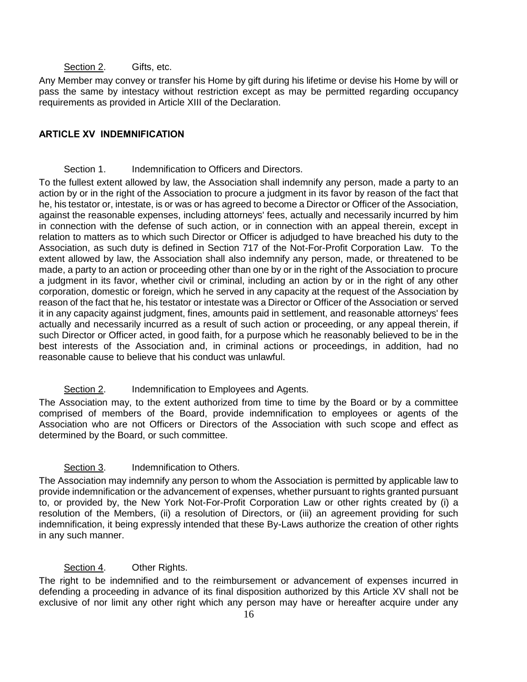#### Section 2. Gifts, etc.

Any Member may convey or transfer his Home by gift during his lifetime or devise his Home by will or pass the same by intestacy without restriction except as may be permitted regarding occupancy requirements as provided in Article XIII of the Declaration.

### **ARTICLE XV INDEMNIFICATION**

#### Section 1. Indemnification to Officers and Directors.

To the fullest extent allowed by law, the Association shall indemnify any person, made a party to an action by or in the right of the Association to procure a judgment in its favor by reason of the fact that he, his testator or, intestate, is or was or has agreed to become a Director or Officer of the Association, against the reasonable expenses, including attorneys' fees, actually and necessarily incurred by him in connection with the defense of such action, or in connection with an appeal therein, except in relation to matters as to which such Director or Officer is adjudged to have breached his duty to the Association, as such duty is defined in Section 717 of the Not-For-Profit Corporation Law. To the extent allowed by law, the Association shall also indemnify any person, made, or threatened to be made, a party to an action or proceeding other than one by or in the right of the Association to procure a judgment in its favor, whether civil or criminal, including an action by or in the right of any other corporation, domestic or foreign, which he served in any capacity at the request of the Association by reason of the fact that he, his testator or intestate was a Director or Officer of the Association or served it in any capacity against judgment, fines, amounts paid in settlement, and reasonable attorneys' fees actually and necessarily incurred as a result of such action or proceeding, or any appeal therein, if such Director or Officer acted, in good faith, for a purpose which he reasonably believed to be in the best interests of the Association and, in criminal actions or proceedings, in addition, had no reasonable cause to believe that his conduct was unlawful.

### Section 2. Indemnification to Employees and Agents.

The Association may, to the extent authorized from time to time by the Board or by a committee comprised of members of the Board, provide indemnification to employees or agents of the Association who are not Officers or Directors of the Association with such scope and effect as determined by the Board, or such committee.

#### Section 3. Indemnification to Others.

The Association may indemnify any person to whom the Association is permitted by applicable law to provide indemnification or the advancement of expenses, whether pursuant to rights granted pursuant to, or provided by, the New York Not-For-Profit Corporation Law or other rights created by (i) a resolution of the Members, (ii) a resolution of Directors, or (iii) an agreement providing for such indemnification, it being expressly intended that these By-Laws authorize the creation of other rights in any such manner.

### Section 4. Other Rights.

The right to be indemnified and to the reimbursement or advancement of expenses incurred in defending a proceeding in advance of its final disposition authorized by this Article XV shall not be exclusive of nor limit any other right which any person may have or hereafter acquire under any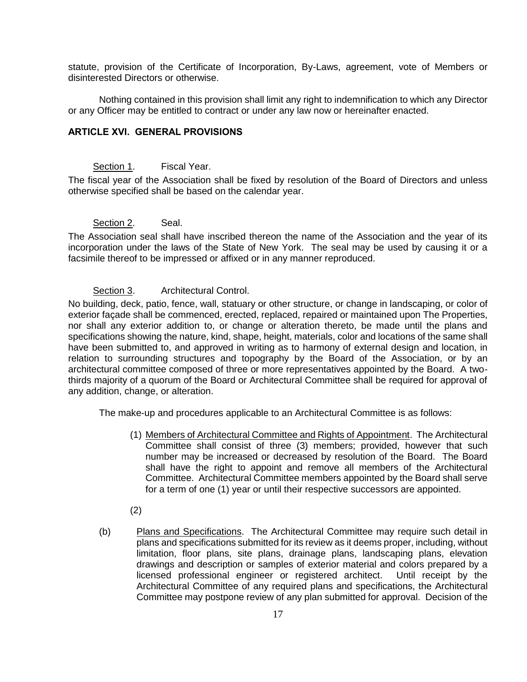statute, provision of the Certificate of Incorporation, By-Laws, agreement, vote of Members or disinterested Directors or otherwise.

Nothing contained in this provision shall limit any right to indemnification to which any Director or any Officer may be entitled to contract or under any law now or hereinafter enacted.

#### **ARTICLE XVI. GENERAL PROVISIONS**

#### Section 1. Fiscal Year.

The fiscal year of the Association shall be fixed by resolution of the Board of Directors and unless otherwise specified shall be based on the calendar year.

#### Section 2. Seal.

The Association seal shall have inscribed thereon the name of the Association and the year of its incorporation under the laws of the State of New York. The seal may be used by causing it or a facsimile thereof to be impressed or affixed or in any manner reproduced.

#### Section 3. Architectural Control.

No building, deck, patio, fence, wall, statuary or other structure, or change in landscaping, or color of exterior façade shall be commenced, erected, replaced, repaired or maintained upon The Properties, nor shall any exterior addition to, or change or alteration thereto, be made until the plans and specifications showing the nature, kind, shape, height, materials, color and locations of the same shall have been submitted to, and approved in writing as to harmony of external design and location, in relation to surrounding structures and topography by the Board of the Association, or by an architectural committee composed of three or more representatives appointed by the Board. A twothirds majority of a quorum of the Board or Architectural Committee shall be required for approval of any addition, change, or alteration.

The make-up and procedures applicable to an Architectural Committee is as follows:

- (1) Members of Architectural Committee and Rights of Appointment. The Architectural Committee shall consist of three (3) members; provided, however that such number may be increased or decreased by resolution of the Board. The Board shall have the right to appoint and remove all members of the Architectural Committee. Architectural Committee members appointed by the Board shall serve for a term of one (1) year or until their respective successors are appointed.
- (2)
- (b) Plans and Specifications. The Architectural Committee may require such detail in plans and specifications submitted for its review as it deems proper, including, without limitation, floor plans, site plans, drainage plans, landscaping plans, elevation drawings and description or samples of exterior material and colors prepared by a licensed professional engineer or registered architect. Until receipt by the Architectural Committee of any required plans and specifications, the Architectural Committee may postpone review of any plan submitted for approval. Decision of the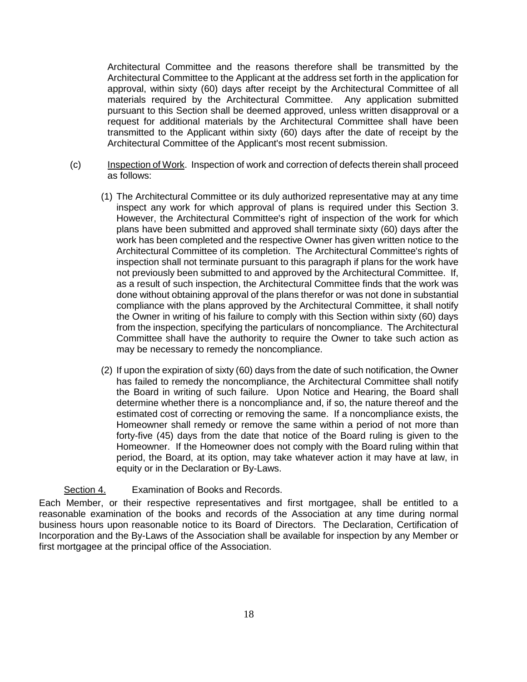Architectural Committee and the reasons therefore shall be transmitted by the Architectural Committee to the Applicant at the address set forth in the application for approval, within sixty (60) days after receipt by the Architectural Committee of all materials required by the Architectural Committee. Any application submitted pursuant to this Section shall be deemed approved, unless written disapproval or a request for additional materials by the Architectural Committee shall have been transmitted to the Applicant within sixty (60) days after the date of receipt by the Architectural Committee of the Applicant's most recent submission.

- (c) Inspection of Work. Inspection of work and correction of defects therein shall proceed as follows:
	- (1) The Architectural Committee or its duly authorized representative may at any time inspect any work for which approval of plans is required under this Section 3. However, the Architectural Committee's right of inspection of the work for which plans have been submitted and approved shall terminate sixty (60) days after the work has been completed and the respective Owner has given written notice to the Architectural Committee of its completion. The Architectural Committee's rights of inspection shall not terminate pursuant to this paragraph if plans for the work have not previously been submitted to and approved by the Architectural Committee. If, as a result of such inspection, the Architectural Committee finds that the work was done without obtaining approval of the plans therefor or was not done in substantial compliance with the plans approved by the Architectural Committee, it shall notify the Owner in writing of his failure to comply with this Section within sixty (60) days from the inspection, specifying the particulars of noncompliance. The Architectural Committee shall have the authority to require the Owner to take such action as may be necessary to remedy the noncompliance.
	- (2) If upon the expiration of sixty (60) days from the date of such notification, the Owner has failed to remedy the noncompliance, the Architectural Committee shall notify the Board in writing of such failure. Upon Notice and Hearing, the Board shall determine whether there is a noncompliance and, if so, the nature thereof and the estimated cost of correcting or removing the same. If a noncompliance exists, the Homeowner shall remedy or remove the same within a period of not more than forty-five (45) days from the date that notice of the Board ruling is given to the Homeowner. If the Homeowner does not comply with the Board ruling within that period, the Board, at its option, may take whatever action it may have at law, in equity or in the Declaration or By-Laws.

### Section 4. Examination of Books and Records.

Each Member, or their respective representatives and first mortgagee, shall be entitled to a reasonable examination of the books and records of the Association at any time during normal business hours upon reasonable notice to its Board of Directors. The Declaration, Certification of Incorporation and the By-Laws of the Association shall be available for inspection by any Member or first mortgagee at the principal office of the Association.